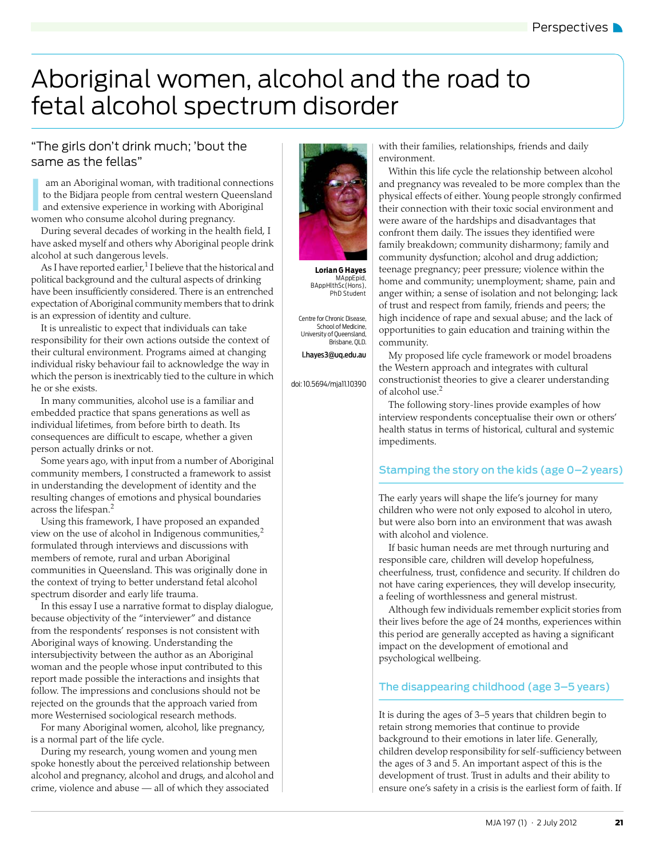# <span id="page-0-0"></span>Aboriginal women, alcohol and the road to fetal alcohol spectrum disorder

# "The girls don't drink much; 'bout the same as the fellas"

 am an Aboriginal woman, with traditional connections to the Bidjara people from central western Queensland and extensive experience in working with Aboriginal am an Aboriginal woman, with traditional correction to the Bidjara people from central western Qu and extensive experience in working with Aboromen who consume alcohol during pregnancy.

During several decades of working in the health field, I have asked myself and others why Aboriginal people drink alcohol at such dangerous levels.

As I have reported earlier, $^1$  $^1$  I believe that the historical and political background and the cultural aspects of drinking have been insufficiently considered. There is an entrenched expectation of Aboriginal community members that to drink is an expression of identity and culture.

It is unrealistic to expect that individuals can take responsibility for their own actions outside the context of their cultural environment. Programs aimed at changing individual risky behaviour fail to acknowledge the way in which the person is inextricably tied to the culture in which he or she exists.

In many communities, alcohol use is a familiar and embedded practice that spans generations as well as individual lifetimes, from before birth to death. Its consequences are difficult to escape, whether a given person actually drinks or not.

Some years ago, with input from a number of Aboriginal community members, I constructed a framework to assist in understanding the development of identity and the resulting changes of emotions and physical boundaries across the lifespan.[2](#page-2-0)

Using this framework, I have proposed an expanded view on the use of alcohol in Indigenous communities, $2$ formulated through interviews and discussions with members of remote, rural and urban Aboriginal communities in Queensland. This was originally done in the context of trying to better understand fetal alcohol spectrum disorder and early life trauma.

The Medical Journal of Australia ISSN: 0025- rejected on the grounds that the approach varied from 729X 2 July 2012 197 1 [21](#page-0-0)[-23](#page-2-1) more Westernised sociological research methods. In this essay I use a narrative format to display dialogue, because objectivity of the "interviewer" and distance from the respondents' responses is not consistent with Aboriginal ways of knowing. Understanding the intersubjectivity between the author as an Aboriginal woman and the people whose input contributed to this report made possible the interactions and insights that follow. The impressions and conclusions should not be

Nesternisca sociological research methods. For many Aboriginal women, alcohol, like pregnancy, is a normal part of the life cycle.

During my research, young women and young men spoke honestly about the perceived relationship between alcohol and pregnancy, alcohol and drugs, and alcohol and crime, violence and abuse — all of which they associated

with their families, relationships, friends and daily environment. Within this life cycle the relationship between alcohol and pregnancy was revealed to be more complex than the physical effects of either. Young people strongly confirmed

their connection with their toxic social environment and were aware of the hardships and disadvantages that confront them daily. The issues they identified were family breakdown; community disharmony; family and community dysfunction; alcohol and drug addiction; teenage pregnancy; peer pressure; violence within the home and community; unemployment; shame, pain and anger within; a sense of isolation and not belonging; lack of trust and respect from family, friends and peers; the high incidence of rape and sexual abuse; and the lack of opportunities to gain education and training within the community.

My proposed life cycle framework or model broadens the Western approach and integrates with cultural constructionist theories to give a clearer understanding of alcohol use[.2](#page-2-0)

The following story-lines provide examples of how interview respondents conceptualise their own or others' health status in terms of historical, cultural and systemic impediments.

# Stamping the story on the kids (age 0–2 years)

The early years will shape the life's journey for many children who were not only exposed to alcohol in utero, but were also born into an environment that was awash with alcohol and violence.

If basic human needs are met through nurturing and responsible care, children will develop hopefulness, cheerfulness, trust, confidence and security. If children do not have caring experiences, they will develop insecurity, a feeling of worthlessness and general mistrust.

Although few individuals remember explicit stories from their lives before the age of 24 months, experiences within this period are generally accepted as having a significant impact on the development of emotional and psychological wellbeing.

## The disappearing childhood (age 3–5 years)

It is during the ages of 3–5 years that children begin to retain strong memories that continue to provide background to their emotions in later life. Generally, children develop responsibility for self-sufficiency between the ages of 3 and 5. An important aspect of this is the development of trust. Trust in adults and their ability to ensure one's safety in a crisis is the earliest form of faith. If



**Lorian G Hayes** MAppEpid, BAppHlthSc(Hons), PhD Student

Centre for Chronic Disease, School of Medicine, University of Queensland, Brisbane, QLD.

l.hayes3@uq.edu.au

doi: 10.5694/mja11.10390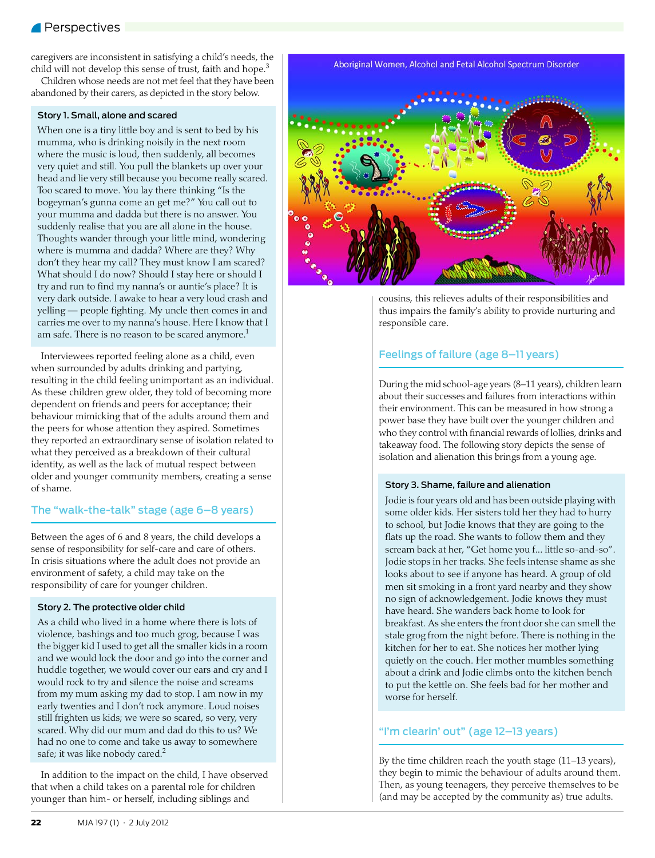caregivers are inconsistent in satisfying a child's needs, the child will not develop this sense of trust, faith and hope.<sup>[3](#page-2-1)</sup>

Children whose needs are not met feel that they have been abandoned by their carers, as depicted in the story below.

#### Story 1. Small, alone and scared

When one is a tiny little boy and is sent to bed by his mumma, who is drinking noisily in the next room where the music is loud, then suddenly, all becomes very quiet and still. You pull the blankets up over your head and lie very still because you become really scared. Too scared to move. You lay there thinking "Is the bogeyman's gunna come an get me?" You call out to your mumma and dadda but there is no answer. You suddenly realise that you are all alone in the house. Thoughts wander through your little mind, wondering where is mumma and dadda? Where are they? Why don't they hear my call? They must know I am scared? What should I do now? Should I stay here or should I try and run to find my nanna's or auntie's place? It is very dark outside. I awake to hear a very loud crash and yelling — people fighting. My uncle then comes in and carries me over to my nanna's house. Here I know that I am safe. There is no reason to be scared anymore.<sup>1</sup>

Interviewees reported feeling alone as a child, even when surrounded by adults drinking and partying, resulting in the child feeling unimportant as an individual. As these children grew older, they told of becoming more dependent on friends and peers for acceptance; their behaviour mimicking that of the adults around them and the peers for whose attention they aspired. Sometimes they reported an extraordinary sense of isolation related to what they perceived as a breakdown of their cultural identity, as well as the lack of mutual respect between older and younger community members, creating a sense of shame.

# The "walk-the-talk" stage (age 6–8 years)

Between the ages of 6 and 8 years, the child develops a sense of responsibility for self-care and care of others. In crisis situations where the adult does not provide an environment of safety, a child may take on the responsibility of care for younger children.

## Story 2. The protective older child

As a child who lived in a home where there is lots of violence, bashings and too much grog, because I was the bigger kid I used to get all the smaller kids in a room and we would lock the door and go into the corner and huddle together, we would cover our ears and cry and I would rock to try and silence the noise and screams from my mum asking my dad to stop. I am now in my early twenties and I don't rock anymore. Loud noises still frighten us kids; we were so scared, so very, very scared. Why did our mum and dad do this to us? We had no one to come and take us away to somewhere safe; it was like nobody cared.<sup>[2](#page-2-0)</sup>

In addition to the impact on the child, I have observed that when a child takes on a parental role for children younger than him- or herself, including siblings and



cousins, this relieves adults of their responsibilities and thus impairs the family's ability to provide nurturing and responsible care.

# Feelings of failure (age 8–11 years)

During the mid school-age years (8–11 years), children learn about their successes and failures from interactions within their environment. This can be measured in how strong a power base they have built over the younger children and who they control with financial rewards of lollies, drinks and takeaway food. The following story depicts the sense of isolation and alienation this brings from a young age.

## Story 3. Shame, failure and alienation

Jodie is four years old and has been outside playing with some older kids. Her sisters told her they had to hurry to school, but Jodie knows that they are going to the flats up the road. She wants to follow them and they scream back at her, "Get home you f... little so-and-so". Jodie stops in her tracks. She feels intense shame as she looks about to see if anyone has heard. A group of old men sit smoking in a front yard nearby and they show no sign of acknowledgement. Jodie knows they must have heard. She wanders back home to look for breakfast. As she enters the front door she can smell the stale grog from the night before. There is nothing in the kitchen for her to eat. She notices her mother lying quietly on the couch. Her mother mumbles something about a drink and Jodie climbs onto the kitchen bench to put the kettle on. She feels bad for her mother and worse for herself.

# "I'm clearin' out" (age 12–13 years)

By the time children reach the youth stage (11–13 years), they begin to mimic the behaviour of adults around them. Then, as young teenagers, they perceive themselves to be (and may be accepted by the community as) true adults.